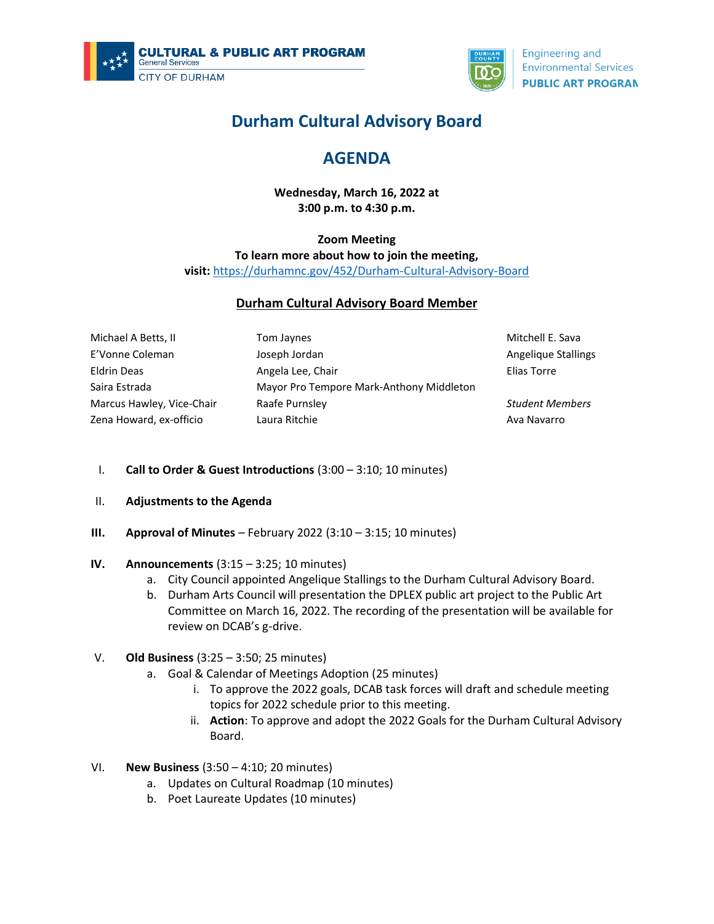



**Engineering and Environmental Services PUBLIC ART PROGRAN** 

# **Durham Cultural Advisory Board**

## **AGENDA**

**Wednesday, March 16, 2022 at 3:00 p.m. to 4:30 p.m.**

### **Zoom Meeting To learn more about how to join the meeting, visit:** <https://durhamnc.gov/452/Durham-Cultural-Advisory-Board>

#### **Durham Cultural Advisory Board Member**

| Michael A Betts, II       | Tom Jaynes                               |
|---------------------------|------------------------------------------|
| E'Vonne Coleman           | Joseph Jordan                            |
| Eldrin Deas               | Angela Lee, Chair                        |
| Saira Estrada             | Mayor Pro Tempore Mark-Anthony Middleton |
| Marcus Hawley, Vice-Chair | Raafe Purnsley                           |
| Zena Howard, ex-officio   | Laura Ritchie                            |

Mitchell E. Sava Angelique Stallings Elias Torre

*Student Members* Ava Navarro

- I. **Call to Order & Guest Introductions** (3:00 3:10; 10 minutes)
- II. **Adjustments to the Agenda**
- **III. Approval of Minutes** February 2022 (3:10 3:15; 10 minutes)
- **IV. Announcements** (3:15 3:25; 10 minutes)
	- a. City Council appointed Angelique Stallings to the Durham Cultural Advisory Board.
	- b. Durham Arts Council will presentation the DPLEX public art project to the Public Art Committee on March 16, 2022. The recording of the presentation will be available for review on DCAB's g-drive.
- V. **Old Business** (3:25 3:50; 25 minutes)
	- a. Goal & Calendar of Meetings Adoption (25 minutes)
		- i. To approve the 2022 goals, DCAB task forces will draft and schedule meeting topics for 2022 schedule prior to this meeting.
		- ii. **Action**: To approve and adopt the 2022 Goals for the Durham Cultural Advisory Board.
- VI. **New Business** (3:50 4:10; 20 minutes)
	- a. Updates on Cultural Roadmap (10 minutes)
	- b. Poet Laureate Updates (10 minutes)